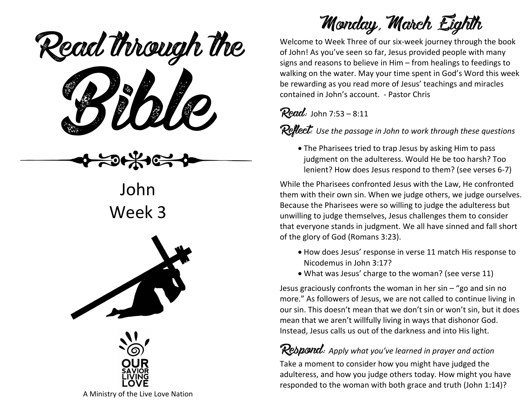Read through the

ead mough i

John Week 3





Monday, March Eighth

Welcome to Week Three of our six-week journey through the book of John! As you've seen so far, Jesus provided people with many signs and reasons to believe in Him – from healings to feedings to walking on the water. May your time spent in God's Word this week be rewarding as you read more of Jesus' teachings and miracles contained in John's account. - Pastor Chris

#### Read: John 7:53 – 8:11

**Reflect:** Use the passage in John to work through these questions

• The Pharisees tried to trap Jesus by asking Him to pass judgment on the adulteress. Would He be too harsh? Too lenient? How does Jesus respond to them? (see verses 6-7)

While the Pharisees confronted Jesus with the Law, He confronted them with their own sin. When we judge others, we judge ourselves. Because the Pharisees were so willing to judge the adulteress but unwilling to judge themselves, Jesus challenges them to consider that everyone stands in judgment. We all have sinned and fall short of the glory of God (Romans 3:23).

- How does Jesus' response in verse 11 match His response to Nicodemus in John 3:17?
- What was Jesus' charge to the woman? (see verse 11)

Jesus graciously confronts the woman in her  $sin -$  "go and  $sin$  no more." As followers of Jesus, we are not called to continue living in our sin. This doesn't mean that we don't sin or won't sin, but it does mean that we aren't willfully living in ways that dishonor God. Instead, Jesus calls us out of the darkness and into His light.

### Respond: *Apply what you've learned in prayer and action*

Take a moment to consider how you might have judged the adulteress, and how you judge others today. How might you have responded to the woman with both grace and truth (John 1:14)?

A Ministry of the Live Love Nation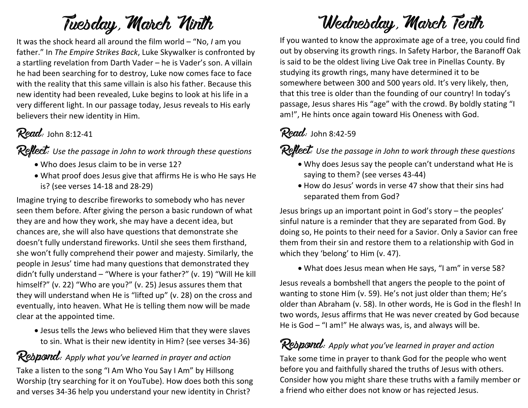## Tuesday, March Ninth

It was the shock heard all around the film world – "No, *I* am you father." In *The Empire Strikes Back*, Luke Skywalker is confronted by a startling revelation from Darth Vader – he is Vader's son. A villain he had been searching for to destroy, Luke now comes face to face with the reality that this same villain is also his father. Because this new identity had been revealed, Luke begins to look at his life in a very different light. In our passage today, Jesus reveals to His early believers their new identity in Him.

#### $Read:$  John 8:12-41

Reflect: Use the passage in John to work through these questions

- Who does Jesus claim to be in verse 12?
- What proof does Jesus give that affirms He is who He says He is? (see verses 14-18 and 28-29)

Imagine trying to describe fireworks to somebody who has never seen them before. After giving the person a basic rundown of what they are and how they work, she may have a decent idea, but chances are, she will also have questions that demonstrate she doesn't fully understand fireworks. Until she sees them firsthand, she won't fully comprehend their power and majesty. Similarly, the people in Jesus' time had many questions that demonstrated they didn't fully understand – "Where is your father?" (v. 19) "Will He kill himself?" (v. 22) "Who are you?" (v. 25) Jesus assures them that they will understand when He is "lifted up" (v. 28) on the cross and eventually, into heaven. What He is telling them now will be made clear at the appointed time.

• Jesus tells the Jews who believed Him that they were slaves to sin. What is their new identity in Him? (see verses 34-36)

#### Respond: *Apply what you've learned in prayer and action*

Take a listen to the song "I Am Who You Say I Am" by Hillsong Worship (try searching for it on YouTube). How does both this song and verses 34-36 help you understand your new identity in Christ?

### Wednesday, March Tenth

If you wanted to know the approximate age of a tree, you could find out by observing its growth rings. In Safety Harbor, the Baranoff Oak is said to be the oldest living Live Oak tree in Pinellas County. By studying its growth rings, many have determined it to be somewhere between 300 and 500 years old. It's very likely, then, that this tree is older than the founding of our country! In today's passage, Jesus shares His "age" with the crowd. By boldly stating "I am!", He hints once again toward His Oneness with God.

#### $Read:$  John 8:42-59

Reflect: Use the passage in John to work through these questions

- Why does Jesus say the people can't understand what He is saying to them? (see verses 43-44)
- How do Jesus' words in verse 47 show that their sins had separated them from God?

Jesus brings up an important point in God's story – the peoples' sinful nature is a reminder that they are separated from God. By doing so, He points to their need for a Savior. Only a Savior can free them from their sin and restore them to a relationship with God in which they 'belong' to Him (v. 47).

• What does Jesus mean when He says, "I am" in verse 58?

Jesus reveals a bombshell that angers the people to the point of wanting to stone Him (v. 59). He's not just older than them; He's older than Abraham (v. 58). In other words, He is God in the flesh! In two words, Jesus affirms that He was never created by God because He is God – "I am!" He always was, is, and always will be.

#### Respond: *Apply what you've learned in prayer and action*

Take some time in prayer to thank God for the people who went before you and faithfully shared the truths of Jesus with others. Consider how you might share these truths with a family member or a friend who either does not know or has rejected Jesus.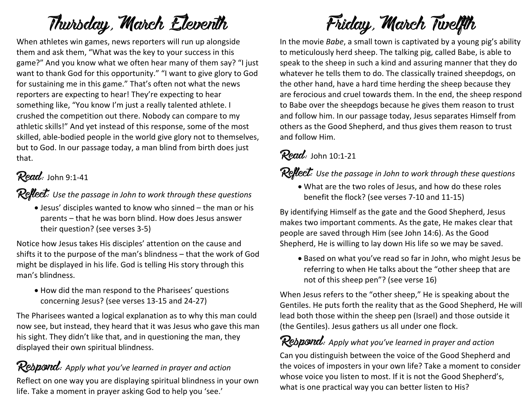# Thursday, March Eleventh

When athletes win games, news reporters will run up alongside them and ask them, "What was the key to your success in this game?" And you know what we often hear many of them say? "I just want to thank God for this opportunity." "I want to give glory to God for sustaining me in this game." That's often not what the news reporters are expecting to hear! They're expecting to hear something like, "You know I'm just a really talented athlete. I crushed the competition out there. Nobody can compare to my athletic skills!" And yet instead of this response, some of the most skilled, able-bodied people in the world give glory not to themselves, but to God. In our passage today, a man blind from birth does just that.

### Read: John 9:1-41

**Reflect:** Use the passage in John to work through these questions

• Jesus' disciples wanted to know who sinned – the man or his parents – that he was born blind. How does Jesus answer their question? (see verses 3-5)

Notice how Jesus takes His disciples' attention on the cause and shifts it to the purpose of the man's blindness – that the work of God might be displayed in his life. God is telling His story through this man's blindness.

• How did the man respond to the Pharisees' questions concerning Jesus? (see verses 13-15 and 24-27)

The Pharisees wanted a logical explanation as to why this man could now see, but instead, they heard that it was Jesus who gave this man his sight. They didn't like that, and in questioning the man, they displayed their own spiritual blindness.

#### Rebpond: Apply what you've learned in prayer and action

Reflect on one way you are displaying spiritual blindness in your own life. Take a moment in prayer asking God to help you 'see.'

# Friday, March Twelfth

In the movie *Babe*, a small town is captivated by a young pig's ability to meticulously herd sheep. The talking pig, called Babe, is able to speak to the sheep in such a kind and assuring manner that they do whatever he tells them to do. The classically trained sheepdogs, on the other hand, have a hard time herding the sheep because they are ferocious and cruel towards them. In the end, the sheep respond to Babe over the sheepdogs because he gives them reason to trust and follow him. In our passage today, Jesus separates Himself from others as the Good Shepherd, and thus gives them reason to trust and follow Him.

#### $Read:$  John 10:1-21

Reflect: Use the passage in John to work through these questions

• What are the two roles of Jesus, and how do these roles benefit the flock? (see verses 7-10 and 11-15)

By identifying Himself as the gate and the Good Shepherd, Jesus makes two important comments. As the gate, He makes clear that people are saved through Him (see John 14:6). As the Good Shepherd, He is willing to lay down His life so we may be saved.

• Based on what you've read so far in John, who might Jesus be referring to when He talks about the "other sheep that are not of this sheep pen"? (see verse 16)

When Jesus refers to the "other sheep," He is speaking about the Gentiles. He puts forth the reality that as the Good Shepherd, He will lead both those within the sheep pen (Israel) and those outside it (the Gentiles). Jesus gathers us all under one flock.

#### Respond: *Apply what you've learned in prayer and action*

Can you distinguish between the voice of the Good Shepherd and the voices of imposters in your own life? Take a moment to consider whose voice you listen to most. If it is not the Good Shepherd's, what is one practical way you can better listen to His?